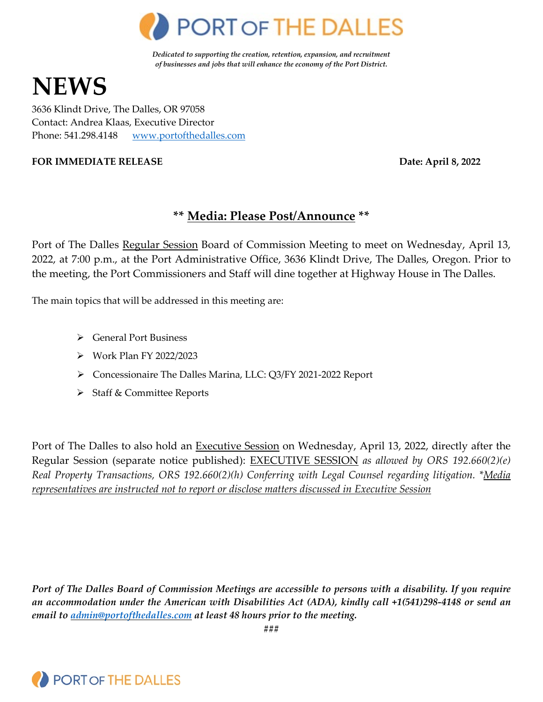

*Dedicated to supporting the creation, retention, expansion, and recruitment of businesses and jobs that will enhance the economy of the Port District.*

# **NEWS**

3636 Klindt Drive, The Dalles, OR 97058 Contact: Andrea Klaas, Executive Director Phone: 541.298.4148 [www.portofthedalles.com](http://www.portofthedalles.com/)

### **FOR IMMEDIATE RELEASE Date: April 8, 2022**

# **\*\* Media: Please Post/Announce \*\***

Port of The Dalles Regular Session Board of Commission Meeting to meet on Wednesday, April 13, 2022, at 7:00 p.m., at the Port Administrative Office, 3636 Klindt Drive, The Dalles, Oregon. Prior to the meeting, the Port Commissioners and Staff will dine together at Highway House in The Dalles.

The main topics that will be addressed in this meeting are:

- General Port Business
- Work Plan FY 2022/2023
- Concessionaire The Dalles Marina, LLC: Q3/FY 2021-2022 Report
- > Staff & Committee Reports

Port of The Dalles to also hold an Executive Session on Wednesday, April 13, 2022, directly after the Regular Session (separate notice published): EXECUTIVE SESSION *as allowed by ORS 192.660(2)(e) Real Property Transactions, ORS 192.660(2)(h) Conferring with Legal Counsel regarding litigation. \*Media representatives are instructed not to report or disclose matters discussed in Executive Session*

*Port of The Dalles Board of Commission Meetings are accessible to persons with a disability. If you require an accommodation under the American with Disabilities Act (ADA), kindly call +1(541)298-4148 or send an email to [admin@portofthedalles.com](mailto:admin@portofthedalles.com) at least 48 hours prior to the meeting.*